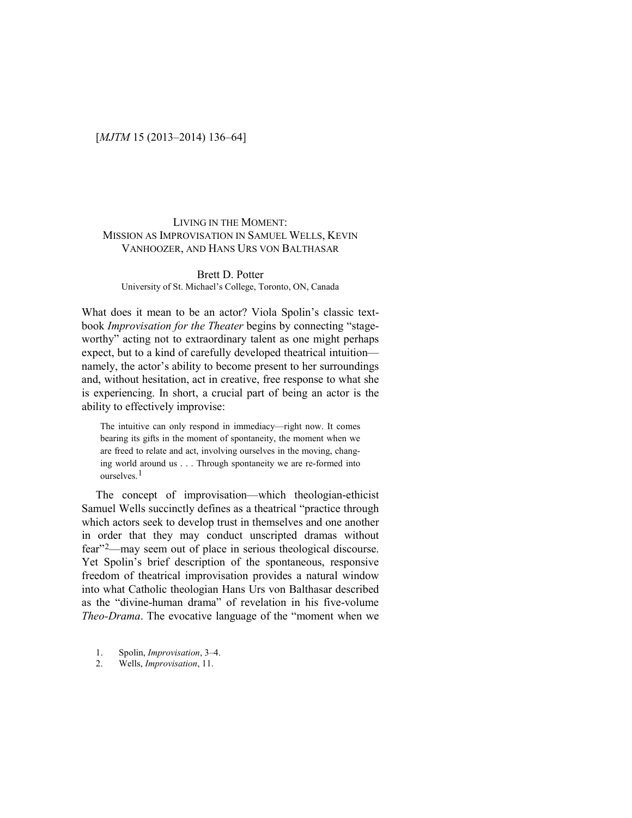# [*MJTM* 15 (2013–2014) 136–64]

## LIVING IN THE MOMENT: MISSION AS IMPROVISATION IN SAMUEL WELLS, KEVIN VANHOOZER, AND HANS URS VON BALTHASAR

## Brett D. Potter University of St. Michael's College, Toronto, ON, Canada

What does it mean to be an actor? Viola Spolin's classic textbook *Improvisation for the Theater* begins by connecting "stageworthy" acting not to extraordinary talent as one might perhaps expect, but to a kind of carefully developed theatrical intuition namely, the actor's ability to become present to her surroundings and, without hesitation, act in creative, free response to what she is experiencing. In short, a crucial part of being an actor is the ability to effectively improvise:

The intuitive can only respond in immediacy—right now. It comes bearing its gifts in the moment of spontaneity, the moment when we are freed to relate and act, involving ourselves in the moving, changing world around us . . . Through spontaneity we are re-formed into ourselves<sup>[1](#page-0-0)</sup>

The concept of improvisation—which theologian-ethicist Samuel Wells succinctly defines as a theatrical "practice through which actors seek to develop trust in themselves and one another in order that they may conduct unscripted dramas without fear"[2—](#page-0-1)may seem out of place in serious theological discourse. Yet Spolin's brief description of the spontaneous, responsive freedom of theatrical improvisation provides a natural window into what Catholic theologian Hans Urs von Balthasar described as the "divine-human drama" of revelation in his five-volume *Theo-Drama*. The evocative language of the "moment when we

- <span id="page-0-0"></span>1. Spolin, *Improvisation*, 3–4.
- <span id="page-0-1"></span>2. Wells, *Improvisation*, 11.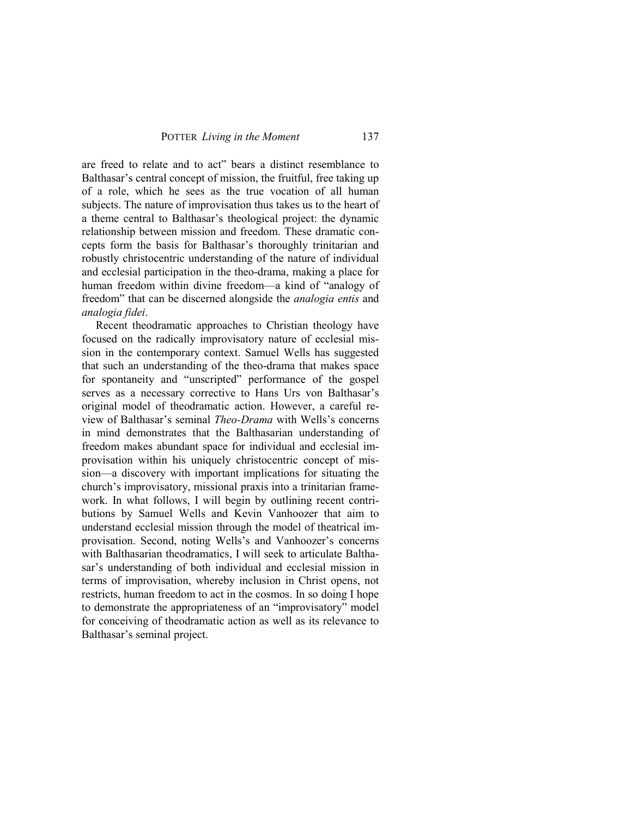are freed to relate and to act" bears a distinct resemblance to Balthasar's central concept of mission, the fruitful, free taking up of a role, which he sees as the true vocation of all human subjects. The nature of improvisation thus takes us to the heart of a theme central to Balthasar's theological project: the dynamic relationship between mission and freedom. These dramatic concepts form the basis for Balthasar's thoroughly trinitarian and robustly christocentric understanding of the nature of individual and ecclesial participation in the theo-drama, making a place for human freedom within divine freedom—a kind of "analogy of freedom" that can be discerned alongside the *analogia entis* and *analogia fidei*.

Recent theodramatic approaches to Christian theology have focused on the radically improvisatory nature of ecclesial mission in the contemporary context. Samuel Wells has suggested that such an understanding of the theo-drama that makes space for spontaneity and "unscripted" performance of the gospel serves as a necessary corrective to Hans Urs von Balthasar's original model of theodramatic action. However, a careful review of Balthasar's seminal *Theo-Drama* with Wells's concerns in mind demonstrates that the Balthasarian understanding of freedom makes abundant space for individual and ecclesial improvisation within his uniquely christocentric concept of mission—a discovery with important implications for situating the church's improvisatory, missional praxis into a trinitarian framework. In what follows, I will begin by outlining recent contributions by Samuel Wells and Kevin Vanhoozer that aim to understand ecclesial mission through the model of theatrical improvisation. Second, noting Wells's and Vanhoozer's concerns with Balthasarian theodramatics, I will seek to articulate Balthasar's understanding of both individual and ecclesial mission in terms of improvisation, whereby inclusion in Christ opens, not restricts, human freedom to act in the cosmos. In so doing I hope to demonstrate the appropriateness of an "improvisatory" model for conceiving of theodramatic action as well as its relevance to Balthasar's seminal project.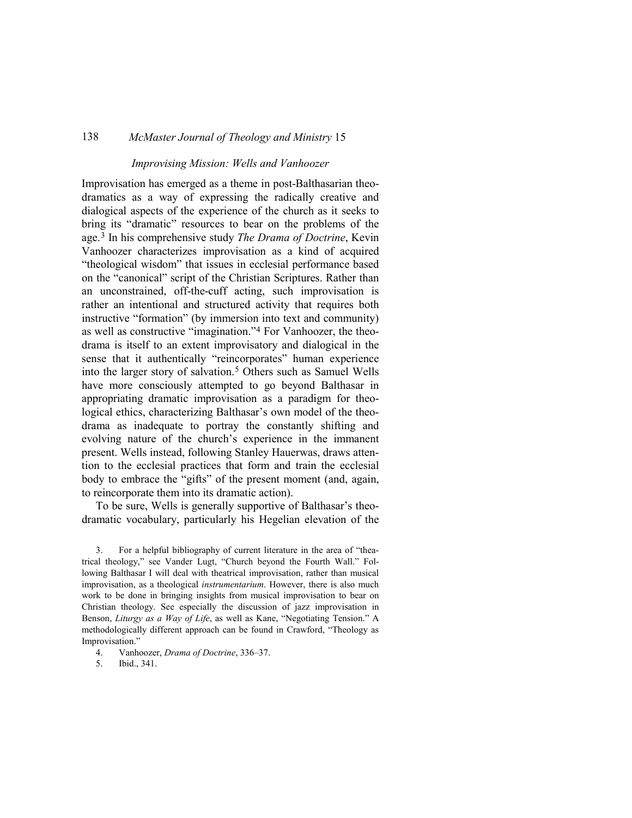### *Improvising Mission: Wells and Vanhoozer*

Improvisation has emerged as a theme in post-Balthasarian theodramatics as a way of expressing the radically creative and dialogical aspects of the experience of the church as it seeks to bring its "dramatic" resources to bear on the problems of the age.[3](#page-2-0) In his comprehensive study *The Drama of Doctrine*, Kevin Vanhoozer characterizes improvisation as a kind of acquired "theological wisdom" that issues in ecclesial performance based on the "canonical" script of the Christian Scriptures. Rather than an unconstrained, off-the-cuff acting, such improvisation is rather an intentional and structured activity that requires both instructive "formation" (by immersion into text and community) as well as constructive "imagination.["4](#page-2-1) For Vanhoozer, the theodrama is itself to an extent improvisatory and dialogical in the sense that it authentically "reincorporates" human experience into the larger story of salvation.[5](#page-2-2) Others such as Samuel Wells have more consciously attempted to go beyond Balthasar in appropriating dramatic improvisation as a paradigm for theological ethics, characterizing Balthasar's own model of the theodrama as inadequate to portray the constantly shifting and evolving nature of the church's experience in the immanent present. Wells instead, following Stanley Hauerwas, draws attention to the ecclesial practices that form and train the ecclesial body to embrace the "gifts" of the present moment (and, again, to reincorporate them into its dramatic action).

To be sure, Wells is generally supportive of Balthasar's theodramatic vocabulary, particularly his Hegelian elevation of the

- <span id="page-2-1"></span>4. Vanhoozer, *Drama of Doctrine*, 336–37.
- <span id="page-2-2"></span>5. Ibid., 341.

<span id="page-2-0"></span><sup>3.</sup> For a helpful bibliography of current literature in the area of "theatrical theology," see Vander Lugt, "Church beyond the Fourth Wall." Following Balthasar I will deal with theatrical improvisation, rather than musical improvisation, as a theological *instrumentarium*. However, there is also much work to be done in bringing insights from musical improvisation to bear on Christian theology. See especially the discussion of jazz improvisation in Benson, *Liturgy as a Way of Life*, as well as Kane, "Negotiating Tension." A methodologically different approach can be found in Crawford, "Theology as Improvisation."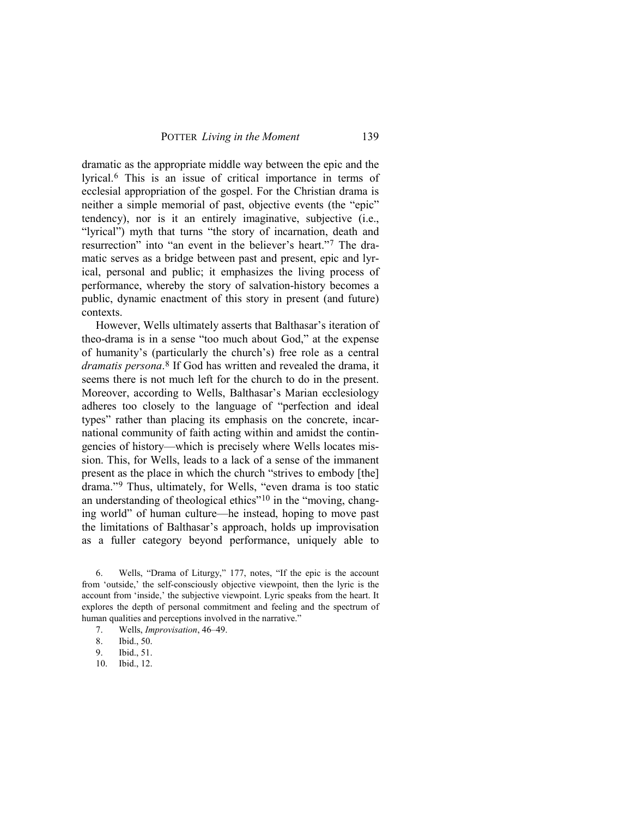dramatic as the appropriate middle way between the epic and the lyrical.[6](#page-3-0) This is an issue of critical importance in terms of ecclesial appropriation of the gospel. For the Christian drama is neither a simple memorial of past, objective events (the "epic" tendency), nor is it an entirely imaginative, subjective (i.e., "lyrical") myth that turns "the story of incarnation, death and resurrection" into "an event in the believer's heart."[7](#page-3-1) The dramatic serves as a bridge between past and present, epic and lyrical, personal and public; it emphasizes the living process of performance, whereby the story of salvation-history becomes a public, dynamic enactment of this story in present (and future) contexts.

However, Wells ultimately asserts that Balthasar's iteration of theo-drama is in a sense "too much about God," at the expense of humanity's (particularly the church's) free role as a central *dramatis persona*.[8](#page-3-2) If God has written and revealed the drama, it seems there is not much left for the church to do in the present. Moreover, according to Wells, Balthasar's Marian ecclesiology adheres too closely to the language of "perfection and ideal types" rather than placing its emphasis on the concrete, incarnational community of faith acting within and amidst the contingencies of history—which is precisely where Wells locates mission. This, for Wells, leads to a lack of a sense of the immanent present as the place in which the church "strives to embody [the] drama."[9](#page-3-3) Thus, ultimately, for Wells, "even drama is too static an understanding of theological ethics"[10](#page-3-4) in the "moving, changing world" of human culture—he instead, hoping to move past the limitations of Balthasar's approach, holds up improvisation as a fuller category beyond performance, uniquely able to

<span id="page-3-0"></span>6. Wells, "Drama of Liturgy," 177, notes, "If the epic is the account from 'outside,' the self-consciously objective viewpoint, then the lyric is the account from 'inside,' the subjective viewpoint. Lyric speaks from the heart. It explores the depth of personal commitment and feeling and the spectrum of human qualities and perceptions involved in the narrative."

10. Ibid., 12.

<span id="page-3-1"></span><sup>7.</sup> Wells, *Improvisation*, 46–49.

<span id="page-3-3"></span><span id="page-3-2"></span><sup>8.</sup> Ibid., 50.

<span id="page-3-4"></span><sup>9.</sup> Ibid., 51.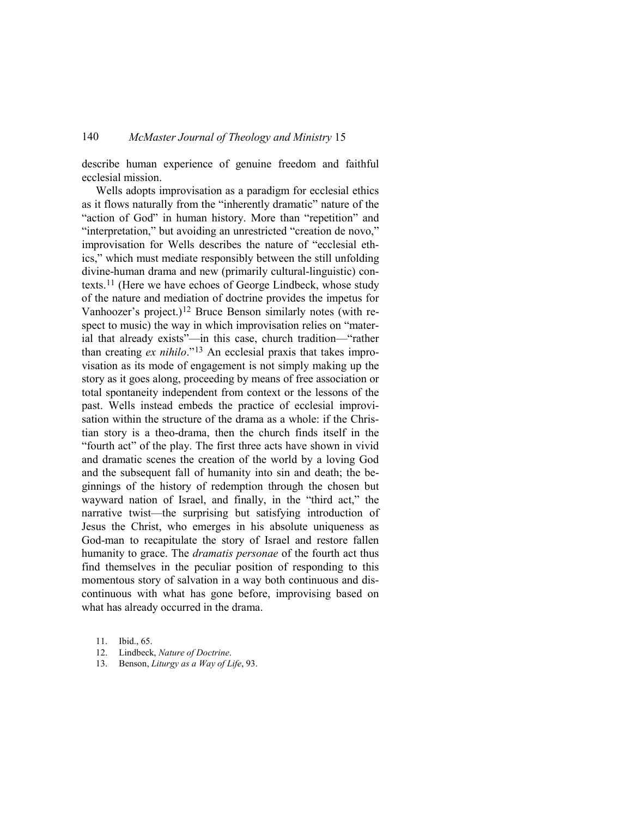describe human experience of genuine freedom and faithful ecclesial mission.

Wells adopts improvisation as a paradigm for ecclesial ethics as it flows naturally from the "inherently dramatic" nature of the "action of God" in human history. More than "repetition" and "interpretation," but avoiding an unrestricted "creation de novo," improvisation for Wells describes the nature of "ecclesial ethics," which must mediate responsibly between the still unfolding divine-human drama and new (primarily cultural-linguistic) contexts.[11](#page-4-0) (Here we have echoes of George Lindbeck, whose study of the nature and mediation of doctrine provides the impetus for Vanhoozer's project.)<sup>[12](#page-4-1)</sup> Bruce Benson similarly notes (with respect to music) the way in which improvisation relies on "material that already exists"—in this case, church tradition—"rather than creating *ex nihilo*."[13](#page-4-2) An ecclesial praxis that takes improvisation as its mode of engagement is not simply making up the story as it goes along, proceeding by means of free association or total spontaneity independent from context or the lessons of the past. Wells instead embeds the practice of ecclesial improvisation within the structure of the drama as a whole: if the Christian story is a theo-drama, then the church finds itself in the "fourth act" of the play. The first three acts have shown in vivid and dramatic scenes the creation of the world by a loving God and the subsequent fall of humanity into sin and death; the beginnings of the history of redemption through the chosen but wayward nation of Israel, and finally, in the "third act," the narrative twist—the surprising but satisfying introduction of Jesus the Christ, who emerges in his absolute uniqueness as God-man to recapitulate the story of Israel and restore fallen humanity to grace. The *dramatis personae* of the fourth act thus find themselves in the peculiar position of responding to this momentous story of salvation in a way both continuous and discontinuous with what has gone before, improvising based on what has already occurred in the drama.

13. Benson, *Liturgy as a Way of Life*, 93.

<span id="page-4-0"></span><sup>11.</sup> Ibid., 65.

<span id="page-4-2"></span><span id="page-4-1"></span><sup>12.</sup> Lindbeck, *Nature of Doctrine*.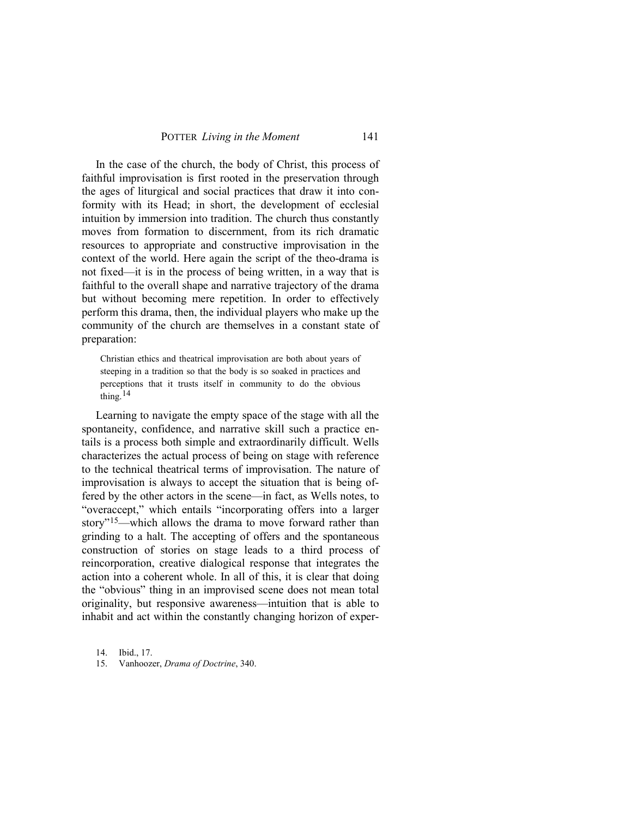In the case of the church, the body of Christ, this process of faithful improvisation is first rooted in the preservation through the ages of liturgical and social practices that draw it into conformity with its Head; in short, the development of ecclesial intuition by immersion into tradition. The church thus constantly moves from formation to discernment, from its rich dramatic resources to appropriate and constructive improvisation in the context of the world. Here again the script of the theo-drama is not fixed—it is in the process of being written, in a way that is faithful to the overall shape and narrative trajectory of the drama but without becoming mere repetition. In order to effectively perform this drama, then, the individual players who make up the community of the church are themselves in a constant state of preparation:

Christian ethics and theatrical improvisation are both about years of steeping in a tradition so that the body is so soaked in practices and perceptions that it trusts itself in community to do the obvious thing.[14](#page-5-0)

Learning to navigate the empty space of the stage with all the spontaneity, confidence, and narrative skill such a practice entails is a process both simple and extraordinarily difficult. Wells characterizes the actual process of being on stage with reference to the technical theatrical terms of improvisation. The nature of improvisation is always to accept the situation that is being offered by the other actors in the scene—in fact, as Wells notes, to "overaccept," which entails "incorporating offers into a larger story"<sup>15</sup>—which allows the drama to move forward rather than grinding to a halt. The accepting of offers and the spontaneous construction of stories on stage leads to a third process of reincorporation, creative dialogical response that integrates the action into a coherent whole. In all of this, it is clear that doing the "obvious" thing in an improvised scene does not mean total originality, but responsive awareness—intuition that is able to inhabit and act within the constantly changing horizon of exper-

<span id="page-5-0"></span>14. Ibid., 17.

<span id="page-5-1"></span>15. Vanhoozer, *Drama of Doctrine*, 340.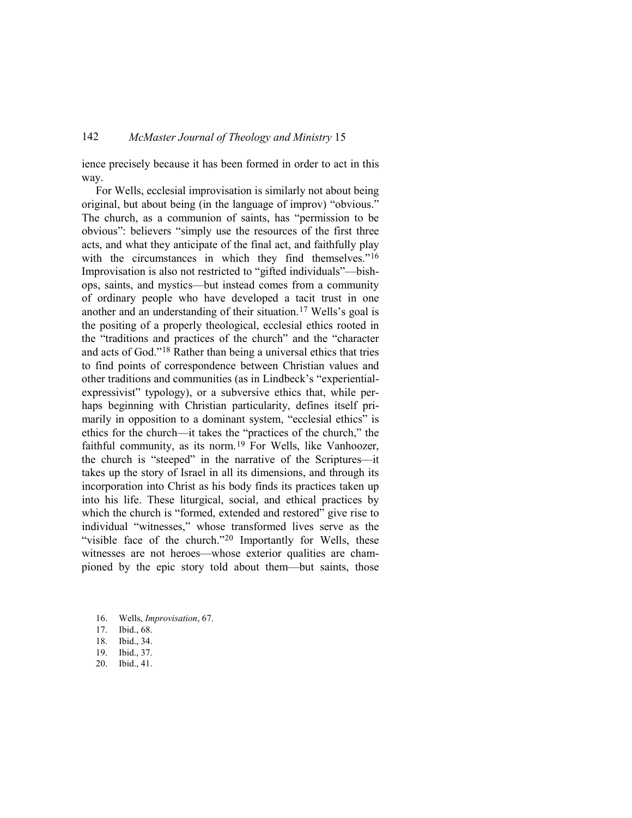ience precisely because it has been formed in order to act in this way.

For Wells, ecclesial improvisation is similarly not about being original, but about being (in the language of improv) "obvious." The church, as a communion of saints, has "permission to be obvious": believers "simply use the resources of the first three acts, and what they anticipate of the final act, and faithfully play with the circumstances in which they find themselves."<sup>[16](#page-6-0)</sup> Improvisation is also not restricted to "gifted individuals"—bishops, saints, and mystics—but instead comes from a community of ordinary people who have developed a tacit trust in one another and an understanding of their situation.[17](#page-6-1) Wells's goal is the positing of a properly theological, ecclesial ethics rooted in the "traditions and practices of the church" and the "character and acts of God."[18](#page-6-2) Rather than being a universal ethics that tries to find points of correspondence between Christian values and other traditions and communities (as in Lindbeck's "experientialexpressivist" typology), or a subversive ethics that, while perhaps beginning with Christian particularity, defines itself primarily in opposition to a dominant system, "ecclesial ethics" is ethics for the church—it takes the "practices of the church," the faithful community, as its norm.<sup>[19](#page-6-3)</sup> For Wells, like Vanhoozer, the church is "steeped" in the narrative of the Scriptures—it takes up the story of Israel in all its dimensions, and through its incorporation into Christ as his body finds its practices taken up into his life. These liturgical, social, and ethical practices by which the church is "formed, extended and restored" give rise to individual "witnesses," whose transformed lives serve as the "visible face of the church."<sup>[20](#page-6-4)</sup> Importantly for Wells, these witnesses are not heroes—whose exterior qualities are championed by the epic story told about them—but saints, those

<span id="page-6-4"></span>20. Ibid., 41.

<span id="page-6-1"></span><span id="page-6-0"></span><sup>16.</sup> Wells, *Improvisation*, 67.

<sup>17.</sup> Ibid., 68.

<sup>18.</sup> Ibid., 34.

<span id="page-6-3"></span><span id="page-6-2"></span><sup>19.</sup> Ibid., 37.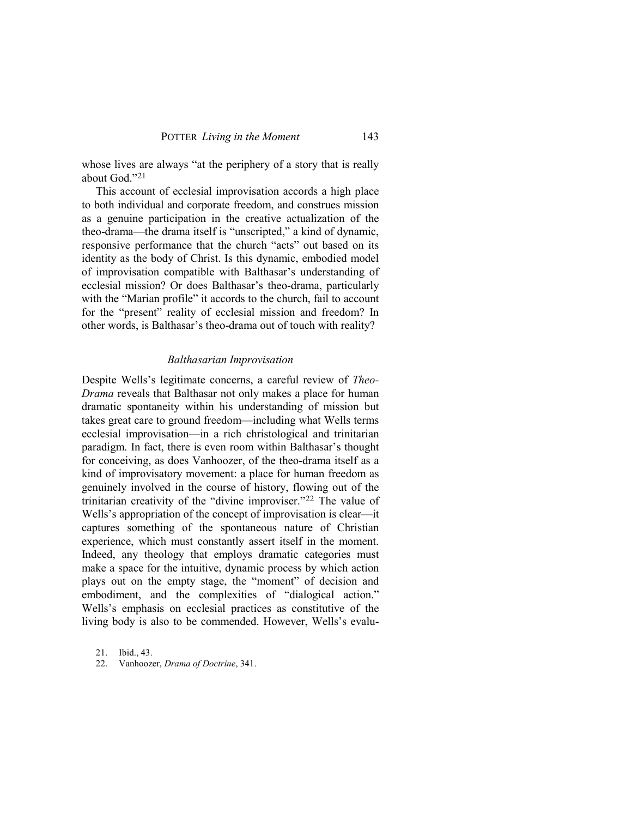whose lives are always "at the periphery of a story that is really about God.["21](#page-7-0)

This account of ecclesial improvisation accords a high place to both individual and corporate freedom, and construes mission as a genuine participation in the creative actualization of the theo-drama—the drama itself is "unscripted," a kind of dynamic, responsive performance that the church "acts" out based on its identity as the body of Christ. Is this dynamic, embodied model of improvisation compatible with Balthasar's understanding of ecclesial mission? Or does Balthasar's theo-drama, particularly with the "Marian profile" it accords to the church, fail to account for the "present" reality of ecclesial mission and freedom? In other words, is Balthasar's theo-drama out of touch with reality?

#### *Balthasarian Improvisation*

Despite Wells's legitimate concerns, a careful review of *Theo-Drama* reveals that Balthasar not only makes a place for human dramatic spontaneity within his understanding of mission but takes great care to ground freedom—including what Wells terms ecclesial improvisation—in a rich christological and trinitarian paradigm. In fact, there is even room within Balthasar's thought for conceiving, as does Vanhoozer, of the theo-drama itself as a kind of improvisatory movement: a place for human freedom as genuinely involved in the course of history, flowing out of the trinitarian creativity of the "divine improviser."[22](#page-7-1) The value of Wells's appropriation of the concept of improvisation is clear—it captures something of the spontaneous nature of Christian experience, which must constantly assert itself in the moment. Indeed, any theology that employs dramatic categories must make a space for the intuitive, dynamic process by which action plays out on the empty stage, the "moment" of decision and embodiment, and the complexities of "dialogical action." Wells's emphasis on ecclesial practices as constitutive of the living body is also to be commended. However, Wells's evalu-

<span id="page-7-0"></span>21. Ibid., 43.

<span id="page-7-1"></span>22. Vanhoozer, *Drama of Doctrine*, 341.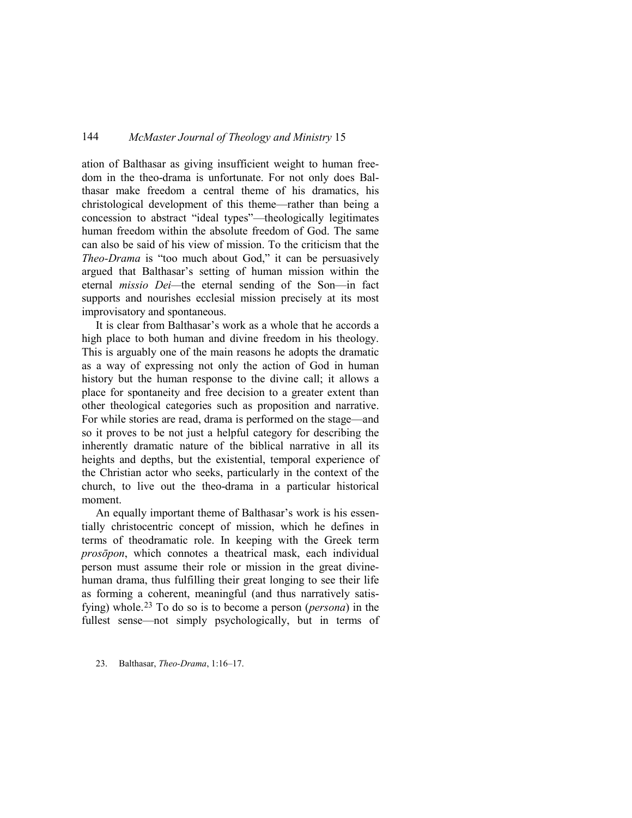ation of Balthasar as giving insufficient weight to human freedom in the theo-drama is unfortunate. For not only does Balthasar make freedom a central theme of his dramatics, his christological development of this theme—rather than being a concession to abstract "ideal types"—theologically legitimates human freedom within the absolute freedom of God. The same can also be said of his view of mission. To the criticism that the *Theo-Drama* is "too much about God," it can be persuasively argued that Balthasar's setting of human mission within the eternal *missio Dei—*the eternal sending of the Son—in fact supports and nourishes ecclesial mission precisely at its most improvisatory and spontaneous.

It is clear from Balthasar's work as a whole that he accords a high place to both human and divine freedom in his theology. This is arguably one of the main reasons he adopts the dramatic as a way of expressing not only the action of God in human history but the human response to the divine call; it allows a place for spontaneity and free decision to a greater extent than other theological categories such as proposition and narrative. For while stories are read, drama is performed on the stage—and so it proves to be not just a helpful category for describing the inherently dramatic nature of the biblical narrative in all its heights and depths, but the existential, temporal experience of the Christian actor who seeks, particularly in the context of the church, to live out the theo-drama in a particular historical moment.

An equally important theme of Balthasar's work is his essentially christocentric concept of mission, which he defines in terms of theodramatic role. In keeping with the Greek term *prosōpon*, which connotes a theatrical mask, each individual person must assume their role or mission in the great divinehuman drama, thus fulfilling their great longing to see their life as forming a coherent, meaningful (and thus narratively satisfying) whole.[23](#page-8-0) To do so is to become a person (*persona*) in the fullest sense—not simply psychologically, but in terms of

<span id="page-8-0"></span>23. Balthasar, *Theo-Drama*, 1:16–17.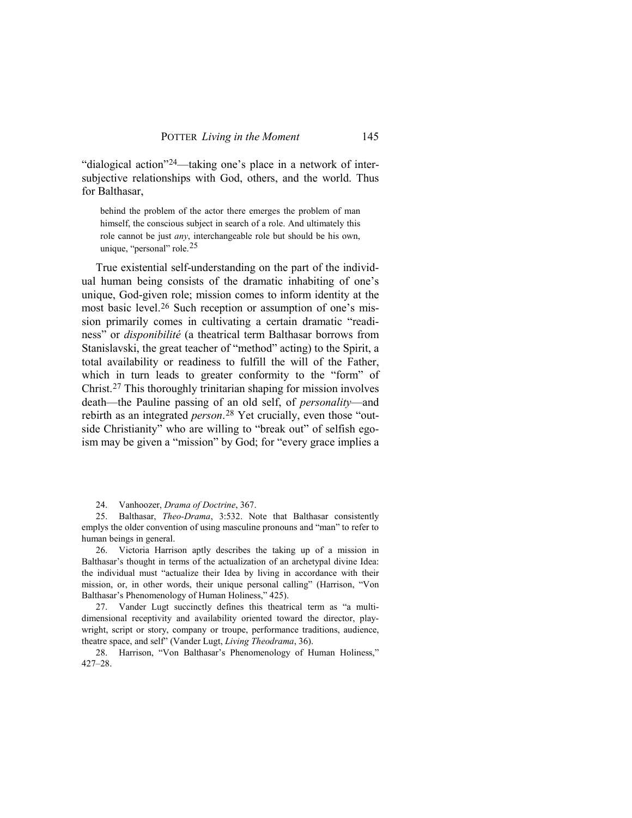"dialogical action"[24—](#page-9-0)taking one's place in a network of intersubjective relationships with God, others, and the world. Thus for Balthasar,

behind the problem of the actor there emerges the problem of man himself, the conscious subject in search of a role. And ultimately this role cannot be just *any*, interchangeable role but should be his own, unique, "personal" role. $25$ 

True existential self-understanding on the part of the individual human being consists of the dramatic inhabiting of one's unique, God-given role; mission comes to inform identity at the most basic level.[26](#page-9-2) Such reception or assumption of one's mission primarily comes in cultivating a certain dramatic "readiness" or *disponibilité* (a theatrical term Balthasar borrows from Stanislavski, the great teacher of "method" acting) to the Spirit, a total availability or readiness to fulfill the will of the Father, which in turn leads to greater conformity to the "form" of Christ.[27](#page-9-3) This thoroughly trinitarian shaping for mission involves death—the Pauline passing of an old self, of *personality*—and rebirth as an integrated *person*.[28](#page-9-4) Yet crucially, even those "outside Christianity" who are willing to "break out" of selfish egoism may be given a "mission" by God; for "every grace implies a

24. Vanhoozer, *Drama of Doctrine*, 367.

<span id="page-9-1"></span><span id="page-9-0"></span>25. Balthasar, *Theo-Drama*, 3:532. Note that Balthasar consistently emplys the older convention of using masculine pronouns and "man" to refer to human beings in general.

<span id="page-9-2"></span>26. Victoria Harrison aptly describes the taking up of a mission in Balthasar's thought in terms of the actualization of an archetypal divine Idea: the individual must "actualize their Idea by living in accordance with their mission, or, in other words, their unique personal calling" (Harrison, "Von Balthasar's Phenomenology of Human Holiness," 425).

<span id="page-9-3"></span>27. Vander Lugt succinctly defines this theatrical term as "a multidimensional receptivity and availability oriented toward the director, playwright, script or story, company or troupe, performance traditions, audience, theatre space, and self" (Vander Lugt, *Living Theodrama*, 36).

<span id="page-9-4"></span>28. Harrison, "Von Balthasar's Phenomenology of Human Holiness," 427–28.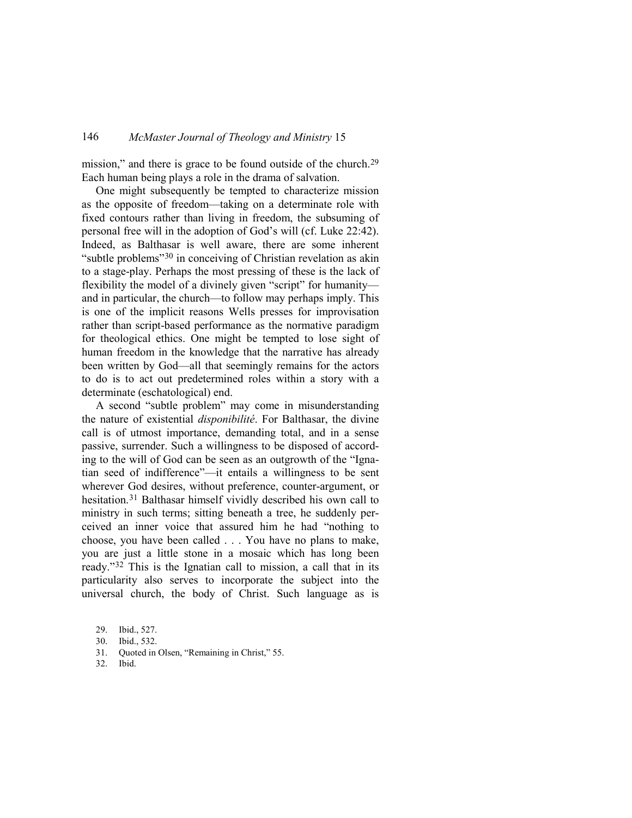mission," and there is grace to be found outside of the church.<sup>[29](#page-10-0)</sup> Each human being plays a role in the drama of salvation.

One might subsequently be tempted to characterize mission as the opposite of freedom—taking on a determinate role with fixed contours rather than living in freedom, the subsuming of personal free will in the adoption of God's will (cf. Luke 22:42). Indeed, as Balthasar is well aware, there are some inherent "subtle problems"[30](#page-10-1) in conceiving of Christian revelation as akin to a stage-play. Perhaps the most pressing of these is the lack of flexibility the model of a divinely given "script" for humanity and in particular, the church—to follow may perhaps imply. This is one of the implicit reasons Wells presses for improvisation rather than script-based performance as the normative paradigm for theological ethics. One might be tempted to lose sight of human freedom in the knowledge that the narrative has already been written by God—all that seemingly remains for the actors to do is to act out predetermined roles within a story with a determinate (eschatological) end.

A second "subtle problem" may come in misunderstanding the nature of existential *disponibilité*. For Balthasar, the divine call is of utmost importance, demanding total, and in a sense passive, surrender. Such a willingness to be disposed of according to the will of God can be seen as an outgrowth of the "Ignatian seed of indifference"—it entails a willingness to be sent wherever God desires, without preference, counter-argument, or hesitation.[31](#page-10-2) Balthasar himself vividly described his own call to ministry in such terms; sitting beneath a tree, he suddenly perceived an inner voice that assured him he had "nothing to choose, you have been called . . . You have no plans to make, you are just a little stone in a mosaic which has long been ready."[32](#page-10-3) This is the Ignatian call to mission, a call that in its particularity also serves to incorporate the subject into the universal church, the body of Christ. Such language as is

<span id="page-10-3"></span>32. Ibid.

<span id="page-10-1"></span><span id="page-10-0"></span><sup>29.</sup> Ibid., 527.

<sup>30.</sup> Ibid., 532.

<span id="page-10-2"></span><sup>31.</sup> Quoted in Olsen, "Remaining in Christ," 55.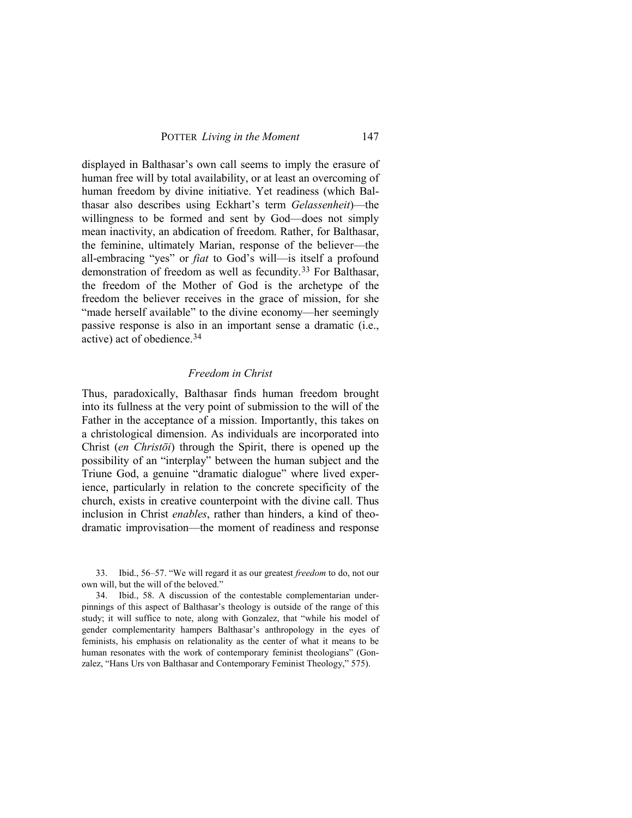displayed in Balthasar's own call seems to imply the erasure of human free will by total availability, or at least an overcoming of human freedom by divine initiative. Yet readiness (which Balthasar also describes using Eckhart's term *Gelassenheit*)—the willingness to be formed and sent by God—does not simply mean inactivity, an abdication of freedom. Rather, for Balthasar, the feminine, ultimately Marian, response of the believer—the all-embracing "yes" or *fiat* to God's will—is itself a profound demonstration of freedom as well as fecundity.[33](#page-11-0) For Balthasar, the freedom of the Mother of God is the archetype of the freedom the believer receives in the grace of mission, for she "made herself available" to the divine economy—her seemingly passive response is also in an important sense a dramatic (i.e., active) act of obedience.[34](#page-11-1)

#### *Freedom in Christ*

Thus, paradoxically, Balthasar finds human freedom brought into its fullness at the very point of submission to the will of the Father in the acceptance of a mission. Importantly, this takes on a christological dimension. As individuals are incorporated into Christ (*en Christōi*) through the Spirit, there is opened up the possibility of an "interplay" between the human subject and the Triune God, a genuine "dramatic dialogue" where lived experience, particularly in relation to the concrete specificity of the church, exists in creative counterpoint with the divine call. Thus inclusion in Christ *enables*, rather than hinders, a kind of theodramatic improvisation—the moment of readiness and response

<span id="page-11-0"></span>33. Ibid., 56–57. "We will regard it as our greatest *freedom* to do, not our own will, but the will of the beloved."

<span id="page-11-1"></span>34. Ibid., 58. A discussion of the contestable complementarian underpinnings of this aspect of Balthasar's theology is outside of the range of this study; it will suffice to note, along with Gonzalez, that "while his model of gender complementarity hampers Balthasar's anthropology in the eyes of feminists, his emphasis on relationality as the center of what it means to be human resonates with the work of contemporary feminist theologians" (Gonzalez, "Hans Urs von Balthasar and Contemporary Feminist Theology," 575).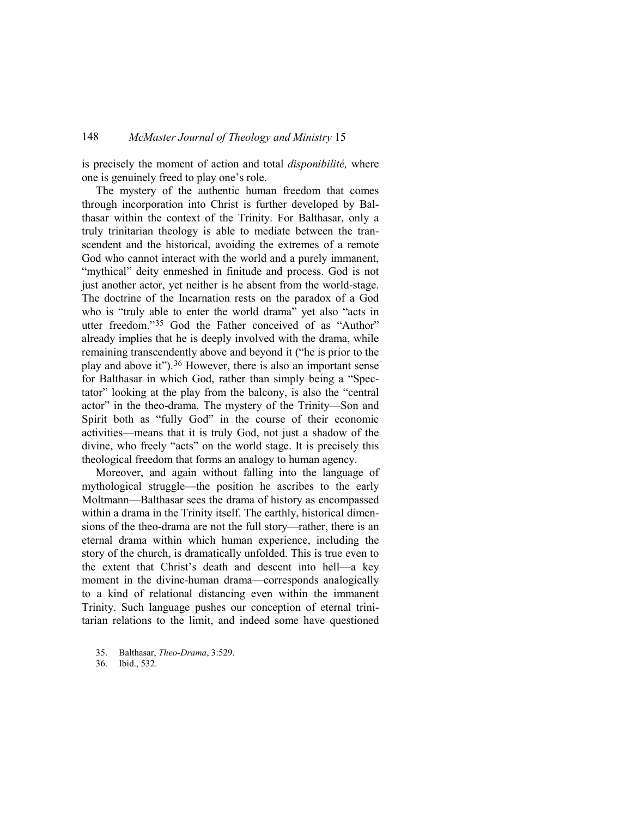is precisely the moment of action and total *disponibilité,* where one is genuinely freed to play one's role.

The mystery of the authentic human freedom that comes through incorporation into Christ is further developed by Balthasar within the context of the Trinity. For Balthasar, only a truly trinitarian theology is able to mediate between the transcendent and the historical, avoiding the extremes of a remote God who cannot interact with the world and a purely immanent, "mythical" deity enmeshed in finitude and process. God is not just another actor, yet neither is he absent from the world-stage. The doctrine of the Incarnation rests on the paradox of a God who is "truly able to enter the world drama" yet also "acts in utter freedom."[35](#page-12-0) God the Father conceived of as "Author" already implies that he is deeply involved with the drama, while remaining transcendently above and beyond it ("he is prior to the play and above it").[36](#page-12-1) However, there is also an important sense for Balthasar in which God, rather than simply being a "Spectator" looking at the play from the balcony, is also the "central actor" in the theo-drama. The mystery of the Trinity—Son and Spirit both as "fully God" in the course of their economic activities—means that it is truly God, not just a shadow of the divine, who freely "acts" on the world stage. It is precisely this theological freedom that forms an analogy to human agency.

Moreover, and again without falling into the language of mythological struggle—the position he ascribes to the early Moltmann—Balthasar sees the drama of history as encompassed within a drama in the Trinity itself. The earthly, historical dimensions of the theo-drama are not the full story—rather, there is an eternal drama within which human experience, including the story of the church, is dramatically unfolded. This is true even to the extent that Christ's death and descent into hell—a key moment in the divine-human drama—corresponds analogically to a kind of relational distancing even within the immanent Trinity. Such language pushes our conception of eternal trinitarian relations to the limit, and indeed some have questioned

<span id="page-12-1"></span>36. Ibid., 532.

<span id="page-12-0"></span><sup>35.</sup> Balthasar, *Theo-Drama*, 3:529.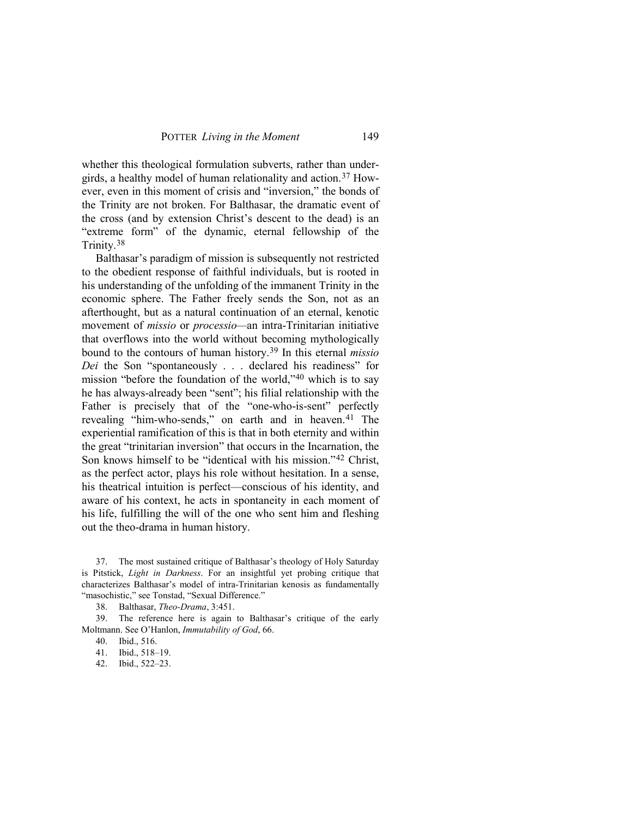whether this theological formulation subverts, rather than undergirds, a healthy model of human relationality and action.[37](#page-13-0) However, even in this moment of crisis and "inversion," the bonds of the Trinity are not broken. For Balthasar, the dramatic event of the cross (and by extension Christ's descent to the dead) is an "extreme form" of the dynamic, eternal fellowship of the Trinity.[38](#page-13-1)

Balthasar's paradigm of mission is subsequently not restricted to the obedient response of faithful individuals, but is rooted in his understanding of the unfolding of the immanent Trinity in the economic sphere. The Father freely sends the Son, not as an afterthought, but as a natural continuation of an eternal, kenotic movement of *missio* or *processio—*an intra-Trinitarian initiative that overflows into the world without becoming mythologically bound to the contours of human history[.39](#page-13-2) In this eternal *missio Dei* the Son "spontaneously . . . declared his readiness" for mission "before the foundation of the world,"[40](#page-13-3) which is to say he has always-already been "sent"; his filial relationship with the Father is precisely that of the "one-who-is-sent" perfectly revealing "him-who-sends," on earth and in heaven.<sup>[41](#page-13-4)</sup> The experiential ramification of this is that in both eternity and within the great "trinitarian inversion" that occurs in the Incarnation, the Son knows himself to be "identical with his mission."[42](#page-13-5) Christ, as the perfect actor, plays his role without hesitation. In a sense, his theatrical intuition is perfect—conscious of his identity, and aware of his context, he acts in spontaneity in each moment of his life, fulfilling the will of the one who sent him and fleshing out the theo-drama in human history.

<span id="page-13-0"></span>37. The most sustained critique of Balthasar's theology of Holy Saturday is Pitstick, *Light in Darkness*. For an insightful yet probing critique that characterizes Balthasar's model of intra-Trinitarian kenosis as fundamentally "masochistic," see Tonstad, "Sexual Difference."

38. Balthasar, *Theo-Drama*, 3:451.

<span id="page-13-5"></span><span id="page-13-4"></span><span id="page-13-3"></span><span id="page-13-2"></span><span id="page-13-1"></span>39. The reference here is again to Balthasar's critique of the early Moltmann. See O'Hanlon, *Immutability of God*, 66.

40. Ibid., 516.

41. Ibid., 518–19.

42. Ibid., 522–23.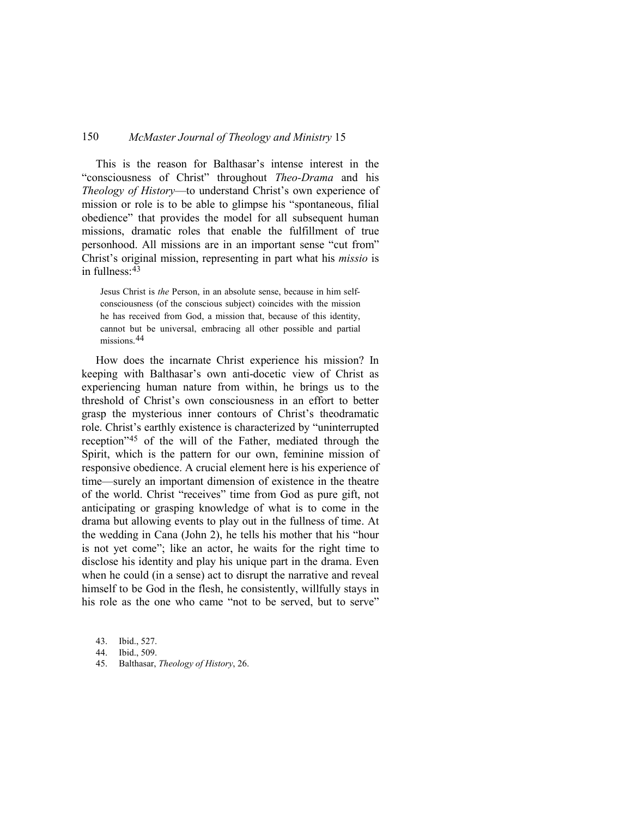This is the reason for Balthasar's intense interest in the "consciousness of Christ" throughout *Theo-Drama* and his *Theology of History*—to understand Christ's own experience of mission or role is to be able to glimpse his "spontaneous, filial obedience" that provides the model for all subsequent human missions, dramatic roles that enable the fulfillment of true personhood. All missions are in an important sense "cut from" Christ's original mission, representing in part what his *missio* is in fullness:[43](#page-14-0)

Jesus Christ is *the* Person, in an absolute sense, because in him selfconsciousness (of the conscious subject) coincides with the mission he has received from God, a mission that, because of this identity, cannot but be universal, embracing all other possible and partial missions.[44](#page-14-1)

How does the incarnate Christ experience his mission? In keeping with Balthasar's own anti-docetic view of Christ as experiencing human nature from within, he brings us to the threshold of Christ's own consciousness in an effort to better grasp the mysterious inner contours of Christ's theodramatic role. Christ's earthly existence is characterized by "uninterrupted reception"[45](#page-14-2) of the will of the Father, mediated through the Spirit, which is the pattern for our own, feminine mission of responsive obedience. A crucial element here is his experience of time—surely an important dimension of existence in the theatre of the world. Christ "receives" time from God as pure gift, not anticipating or grasping knowledge of what is to come in the drama but allowing events to play out in the fullness of time. At the wedding in Cana (John 2), he tells his mother that his "hour is not yet come"; like an actor, he waits for the right time to disclose his identity and play his unique part in the drama. Even when he could (in a sense) act to disrupt the narrative and reveal himself to be God in the flesh, he consistently, willfully stays in his role as the one who came "not to be served, but to serve"

<span id="page-14-0"></span><sup>43.</sup> Ibid., 527.

<span id="page-14-1"></span><sup>44.</sup> Ibid., 509.

<span id="page-14-2"></span><sup>45.</sup> Balthasar, *Theology of History*, 26.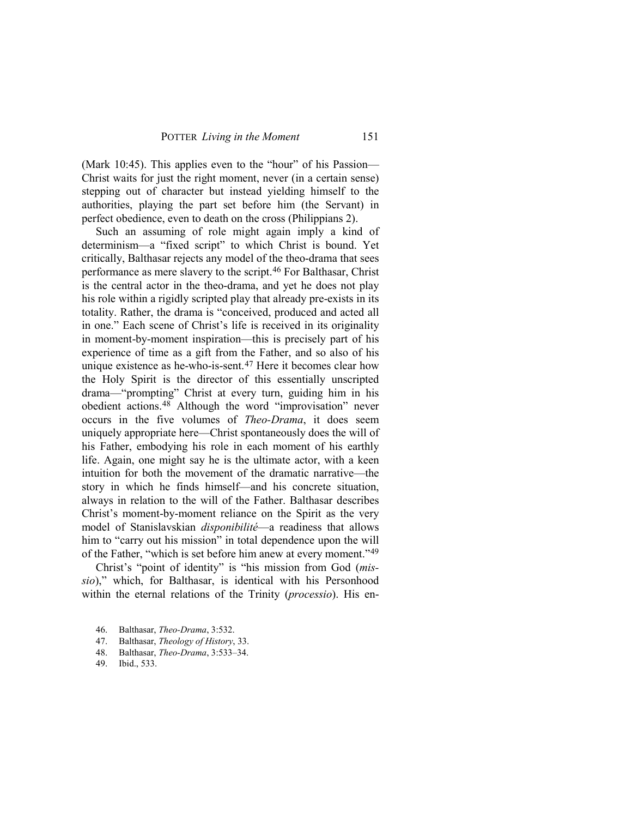(Mark 10:45). This applies even to the "hour" of his Passion— Christ waits for just the right moment, never (in a certain sense) stepping out of character but instead yielding himself to the authorities, playing the part set before him (the Servant) in perfect obedience, even to death on the cross (Philippians 2).

Such an assuming of role might again imply a kind of determinism—a "fixed script" to which Christ is bound. Yet critically, Balthasar rejects any model of the theo-drama that sees performance as mere slavery to the script.[46](#page-15-0) For Balthasar, Christ is the central actor in the theo-drama, and yet he does not play his role within a rigidly scripted play that already pre-exists in its totality. Rather, the drama is "conceived, produced and acted all in one." Each scene of Christ's life is received in its originality in moment-by-moment inspiration—this is precisely part of his experience of time as a gift from the Father, and so also of his unique existence as he-who-is-sent.[47](#page-15-1) Here it becomes clear how the Holy Spirit is the director of this essentially unscripted drama—"prompting" Christ at every turn, guiding him in his obedient actions.[48](#page-15-2) Although the word "improvisation" never occurs in the five volumes of *Theo-Drama*, it does seem uniquely appropriate here—Christ spontaneously does the will of his Father, embodying his role in each moment of his earthly life. Again, one might say he is the ultimate actor, with a keen intuition for both the movement of the dramatic narrative—the story in which he finds himself—and his concrete situation, always in relation to the will of the Father. Balthasar describes Christ's moment-by-moment reliance on the Spirit as the very model of Stanislavskian *disponibilité*—a readiness that allows him to "carry out his mission" in total dependence upon the will of the Father, "which is set before him anew at every moment."[49](#page-15-3)

Christ's "point of identity" is "his mission from God (*missio*)," which, for Balthasar, is identical with his Personhood within the eternal relations of the Trinity (*processio*). His en-

<span id="page-15-0"></span><sup>46.</sup> Balthasar, *Theo-Drama*, 3:532.

<span id="page-15-1"></span><sup>47.</sup> Balthasar, *Theology of History*, 33.

<span id="page-15-2"></span><sup>48.</sup> Balthasar, *Theo-Drama*, 3:533–34.

<span id="page-15-3"></span><sup>49.</sup> Ibid., 533.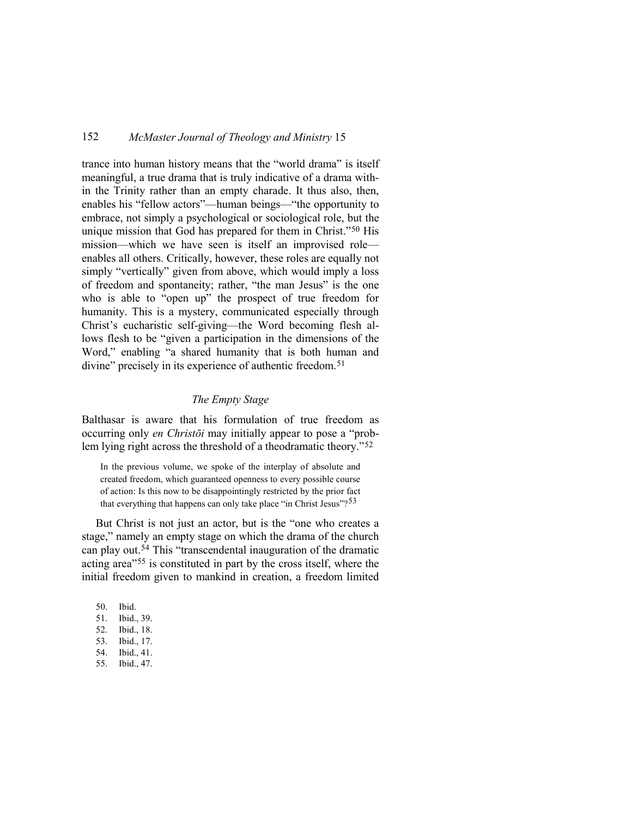trance into human history means that the "world drama" is itself meaningful, a true drama that is truly indicative of a drama within the Trinity rather than an empty charade. It thus also, then, enables his "fellow actors"—human beings—"the opportunity to embrace, not simply a psychological or sociological role, but the unique mission that God has prepared for them in Christ."[50](#page-16-0) His mission—which we have seen is itself an improvised role enables all others. Critically, however, these roles are equally not simply "vertically" given from above, which would imply a loss of freedom and spontaneity; rather, "the man Jesus" is the one who is able to "open up" the prospect of true freedom for humanity. This is a mystery, communicated especially through Christ's eucharistic self-giving—the Word becoming flesh allows flesh to be "given a participation in the dimensions of the Word," enabling "a shared humanity that is both human and divine" precisely in its experience of authentic freedom.<sup>[51](#page-16-1)</sup>

#### *The Empty Stage*

Balthasar is aware that his formulation of true freedom as occurring only *en Christōi* may initially appear to pose a "problem lying right across the threshold of a theodramatic theory."[52](#page-16-2)

In the previous volume, we spoke of the interplay of absolute and created freedom, which guaranteed openness to every possible course of action: Is this now to be disappointingly restricted by the prior fact that everything that happens can only take place "in Christ Jesus"?<sup>[53](#page-16-3)</sup>

But Christ is not just an actor, but is the "one who creates a stage," namely an empty stage on which the drama of the church can play out.[54](#page-16-4) This "transcendental inauguration of the dramatic acting area"[55](#page-16-5) is constituted in part by the cross itself, where the initial freedom given to mankind in creation, a freedom limited

- <span id="page-16-1"></span><span id="page-16-0"></span>50. Ibid. 51. Ibid., 39.
- <span id="page-16-2"></span>52. Ibid., 18.
- <span id="page-16-3"></span>53. Ibid., 17.
- <span id="page-16-4"></span>54. Ibid., 41.
- <span id="page-16-5"></span>55. Ibid., 47.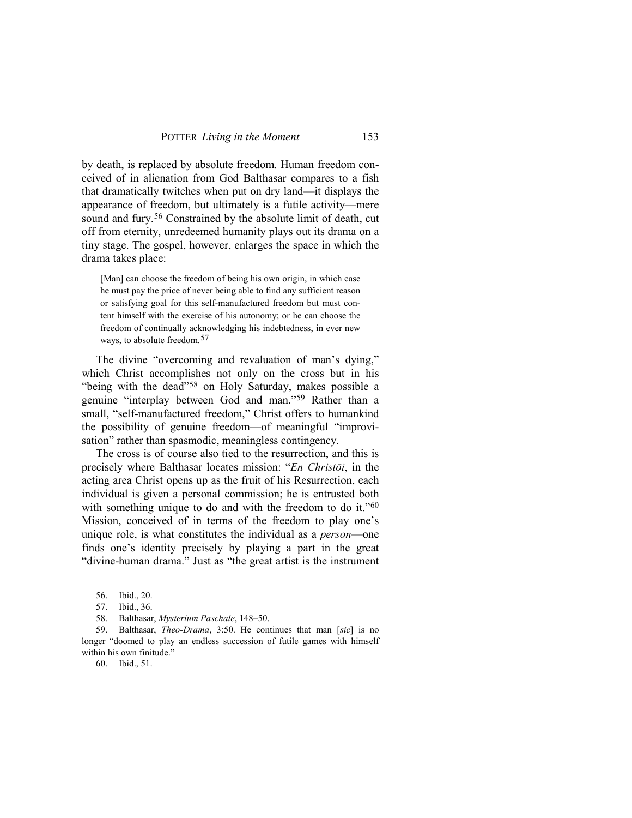by death, is replaced by absolute freedom. Human freedom conceived of in alienation from God Balthasar compares to a fish that dramatically twitches when put on dry land—it displays the appearance of freedom, but ultimately is a futile activity—mere sound and fury.<sup>[56](#page-17-0)</sup> Constrained by the absolute limit of death, cut off from eternity, unredeemed humanity plays out its drama on a tiny stage. The gospel, however, enlarges the space in which the drama takes place:

[Man] can choose the freedom of being his own origin, in which case he must pay the price of never being able to find any sufficient reason or satisfying goal for this self-manufactured freedom but must content himself with the exercise of his autonomy; or he can choose the freedom of continually acknowledging his indebtedness, in ever new ways, to absolute freedom.<sup>[57](#page-17-1)</sup>

The divine "overcoming and revaluation of man's dying," which Christ accomplishes not only on the cross but in his "being with the dead"[58](#page-17-2) on Holy Saturday, makes possible a genuine "interplay between God and man.["59](#page-17-3) Rather than a small, "self-manufactured freedom," Christ offers to humankind the possibility of genuine freedom—of meaningful "improvisation" rather than spasmodic, meaningless contingency.

The cross is of course also tied to the resurrection, and this is precisely where Balthasar locates mission: "*En Christōi*, in the acting area Christ opens up as the fruit of his Resurrection, each individual is given a personal commission; he is entrusted both with something unique to do and with the freedom to do it."<sup>[60](#page-17-4)</sup> Mission, conceived of in terms of the freedom to play one's unique role, is what constitutes the individual as a *person*—one finds one's identity precisely by playing a part in the great "divine-human drama." Just as "the great artist is the instrument

<span id="page-17-4"></span><span id="page-17-3"></span><span id="page-17-2"></span><span id="page-17-1"></span><span id="page-17-0"></span>59. Balthasar, *Theo-Drama*, 3:50. He continues that man [*sic*] is no longer "doomed to play an endless succession of futile games with himself within his own finitude."

60. Ibid., 51.

<sup>56.</sup> Ibid., 20.

<sup>57.</sup> Ibid., 36.

<sup>58.</sup> Balthasar, *Mysterium Paschale*, 148–50.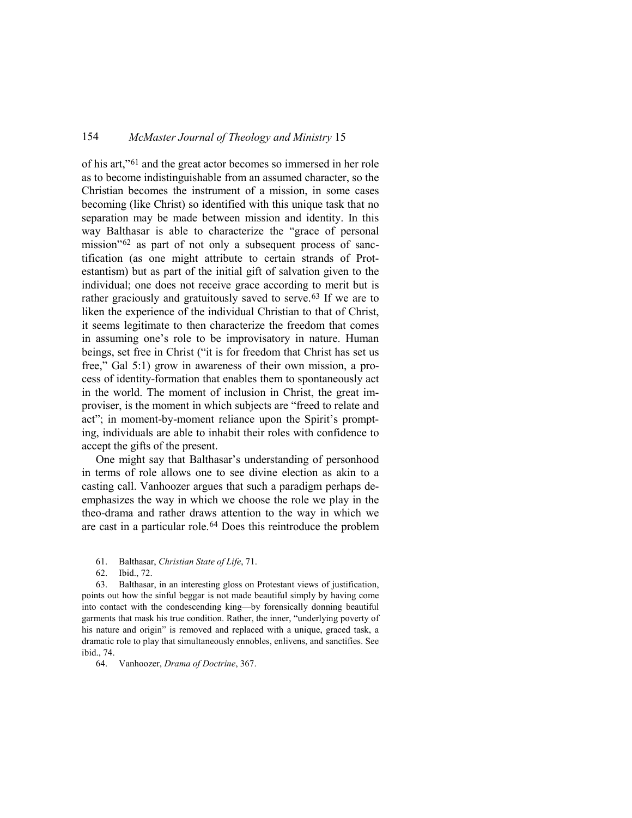of his art,"[61](#page-18-0) and the great actor becomes so immersed in her role as to become indistinguishable from an assumed character, so the Christian becomes the instrument of a mission, in some cases becoming (like Christ) so identified with this unique task that no separation may be made between mission and identity. In this way Balthasar is able to characterize the "grace of personal mission"[62](#page-18-1) as part of not only a subsequent process of sanctification (as one might attribute to certain strands of Protestantism) but as part of the initial gift of salvation given to the individual; one does not receive grace according to merit but is rather graciously and gratuitously saved to serve.<sup>[63](#page-18-2)</sup> If we are to liken the experience of the individual Christian to that of Christ, it seems legitimate to then characterize the freedom that comes in assuming one's role to be improvisatory in nature. Human beings, set free in Christ ("it is for freedom that Christ has set us free," Gal 5:1) grow in awareness of their own mission, a process of identity-formation that enables them to spontaneously act in the world. The moment of inclusion in Christ, the great improviser, is the moment in which subjects are "freed to relate and act"; in moment-by-moment reliance upon the Spirit's prompting, individuals are able to inhabit their roles with confidence to accept the gifts of the present.

One might say that Balthasar's understanding of personhood in terms of role allows one to see divine election as akin to a casting call. Vanhoozer argues that such a paradigm perhaps deemphasizes the way in which we choose the role we play in the theo-drama and rather draws attention to the way in which we are cast in a particular role.[64](#page-18-3) Does this reintroduce the problem

- 61. Balthasar, *Christian State of Life*, 71.
- 62. Ibid., 72.

<span id="page-18-2"></span><span id="page-18-1"></span><span id="page-18-0"></span>63. Balthasar, in an interesting gloss on Protestant views of justification, points out how the sinful beggar is not made beautiful simply by having come into contact with the condescending king—by forensically donning beautiful garments that mask his true condition. Rather, the inner, "underlying poverty of his nature and origin" is removed and replaced with a unique, graced task, a dramatic role to play that simultaneously ennobles, enlivens, and sanctifies. See ibid., 74.

<span id="page-18-3"></span>64. Vanhoozer, *Drama of Doctrine*, 367.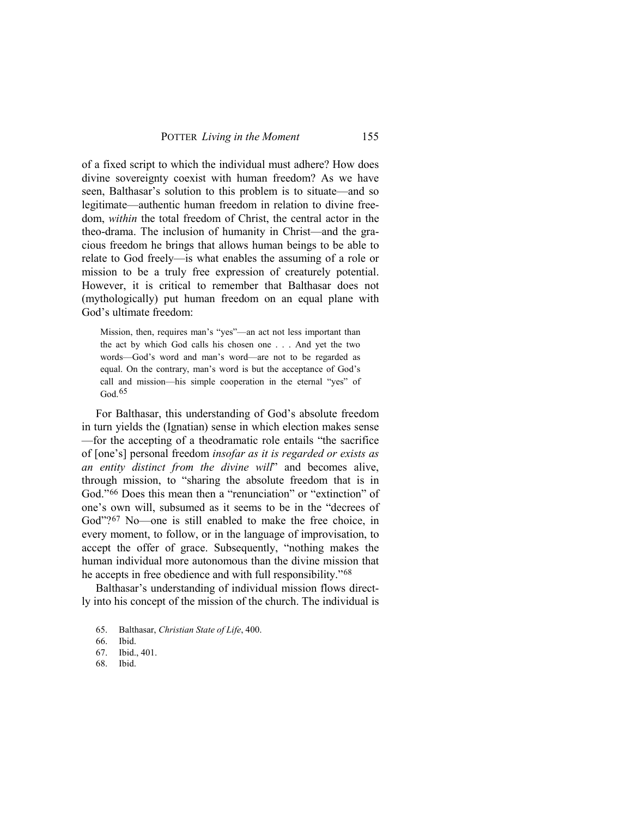of a fixed script to which the individual must adhere? How does divine sovereignty coexist with human freedom? As we have seen, Balthasar's solution to this problem is to situate—and so legitimate—authentic human freedom in relation to divine freedom, *within* the total freedom of Christ, the central actor in the theo-drama. The inclusion of humanity in Christ—and the gracious freedom he brings that allows human beings to be able to relate to God freely—is what enables the assuming of a role or mission to be a truly free expression of creaturely potential. However, it is critical to remember that Balthasar does not (mythologically) put human freedom on an equal plane with God's ultimate freedom:

Mission, then, requires man's "yes"—an act not less important than the act by which God calls his chosen one . . . And yet the two words—God's word and man's word—are not to be regarded as equal. On the contrary, man's word is but the acceptance of God's call and mission—his simple cooperation in the eternal "yes" of God.[65](#page-19-0)

For Balthasar, this understanding of God's absolute freedom in turn yields the (Ignatian) sense in which election makes sense —for the accepting of a theodramatic role entails "the sacrifice of [one's] personal freedom *insofar as it is regarded or exists as an entity distinct from the divine will*" and becomes alive, through mission, to "sharing the absolute freedom that is in God."[66](#page-19-1) Does this mean then a "renunciation" or "extinction" of one's own will, subsumed as it seems to be in the "decrees of God"?<sup>[67](#page-19-2)</sup> No—one is still enabled to make the free choice, in every moment, to follow, or in the language of improvisation, to accept the offer of grace. Subsequently, "nothing makes the human individual more autonomous than the divine mission that he accepts in free obedience and with full responsibility."<sup>[68](#page-19-3)</sup>

<span id="page-19-0"></span>Balthasar's understanding of individual mission flows directly into his concept of the mission of the church. The individual is

- 65. Balthasar, *Christian State of Life*, 400.
- <span id="page-19-1"></span>66. Ibid.
- <span id="page-19-2"></span>67. Ibid., 401.
- <span id="page-19-3"></span>68. Ibid.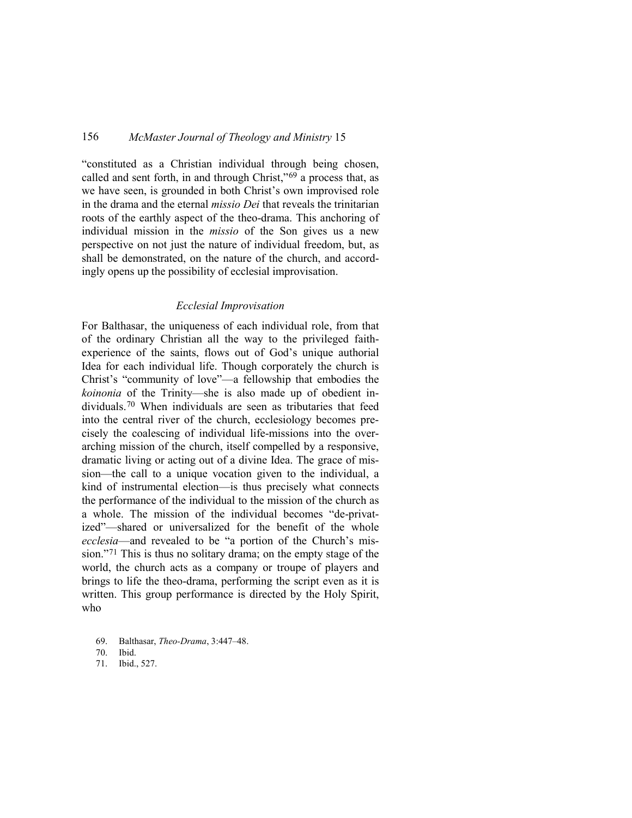"constituted as a Christian individual through being chosen, called and sent forth, in and through Christ,"[69](#page-20-0) a process that, as we have seen, is grounded in both Christ's own improvised role in the drama and the eternal *missio Dei* that reveals the trinitarian roots of the earthly aspect of the theo-drama. This anchoring of individual mission in the *missio* of the Son gives us a new perspective on not just the nature of individual freedom, but, as shall be demonstrated, on the nature of the church, and accordingly opens up the possibility of ecclesial improvisation.

#### *Ecclesial Improvisation*

For Balthasar, the uniqueness of each individual role, from that of the ordinary Christian all the way to the privileged faithexperience of the saints, flows out of God's unique authorial Idea for each individual life. Though corporately the church is Christ's "community of love"—a fellowship that embodies the *koinonia* of the Trinity—she is also made up of obedient individuals.[70](#page-20-1) When individuals are seen as tributaries that feed into the central river of the church, ecclesiology becomes precisely the coalescing of individual life-missions into the overarching mission of the church, itself compelled by a responsive, dramatic living or acting out of a divine Idea. The grace of mission—the call to a unique vocation given to the individual, a kind of instrumental election—is thus precisely what connects the performance of the individual to the mission of the church as a whole. The mission of the individual becomes "de-privatized"—shared or universalized for the benefit of the whole *ecclesia*—and revealed to be "a portion of the Church's mission."[71](#page-20-2) This is thus no solitary drama; on the empty stage of the world, the church acts as a company or troupe of players and brings to life the theo-drama, performing the script even as it is written. This group performance is directed by the Holy Spirit, who

<span id="page-20-1"></span><span id="page-20-0"></span><sup>69.</sup> Balthasar, *Theo-Drama*, 3:447–48.

<sup>70.</sup> Ibid.

<span id="page-20-2"></span><sup>71.</sup> Ibid., 527.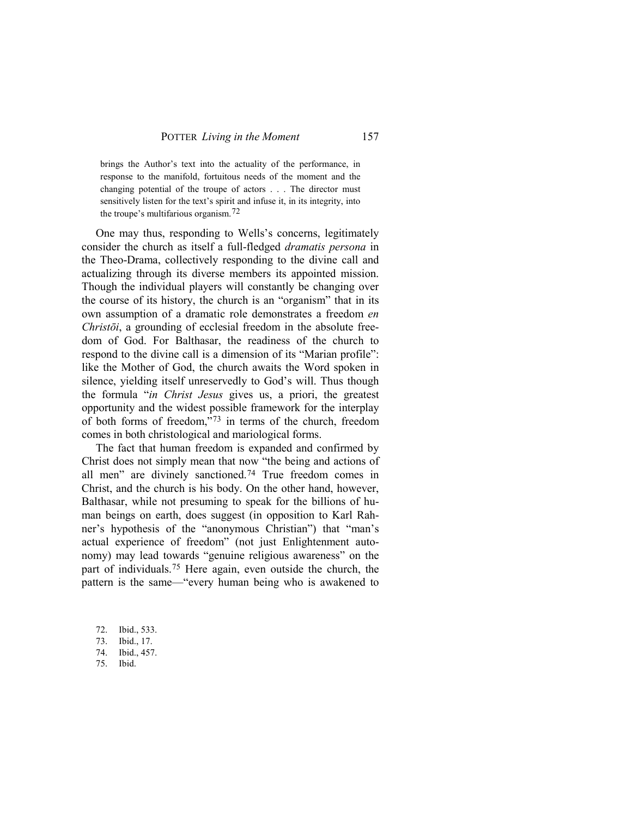brings the Author's text into the actuality of the performance, in response to the manifold, fortuitous needs of the moment and the changing potential of the troupe of actors . . . The director must sensitively listen for the text's spirit and infuse it, in its integrity, into the troupe's multifarious organism.[72](#page-21-0)

One may thus, responding to Wells's concerns, legitimately consider the church as itself a full-fledged *dramatis persona* in the Theo-Drama, collectively responding to the divine call and actualizing through its diverse members its appointed mission. Though the individual players will constantly be changing over the course of its history, the church is an "organism" that in its own assumption of a dramatic role demonstrates a freedom *en Christōi*, a grounding of ecclesial freedom in the absolute freedom of God. For Balthasar, the readiness of the church to respond to the divine call is a dimension of its "Marian profile": like the Mother of God, the church awaits the Word spoken in silence, yielding itself unreservedly to God's will. Thus though the formula "*in Christ Jesus* gives us, a priori, the greatest opportunity and the widest possible framework for the interplay of both forms of freedom,"[73](#page-21-1) in terms of the church, freedom comes in both christological and mariological forms.

The fact that human freedom is expanded and confirmed by Christ does not simply mean that now "the being and actions of all men" are divinely sanctioned.[74](#page-21-2) True freedom comes in Christ, and the church is his body. On the other hand, however, Balthasar, while not presuming to speak for the billions of human beings on earth, does suggest (in opposition to Karl Rahner's hypothesis of the "anonymous Christian") that "man's actual experience of freedom" (not just Enlightenment autonomy) may lead towards "genuine religious awareness" on the part of individuals.[75](#page-21-3) Here again, even outside the church, the pattern is the same—"every human being who is awakened to

- <span id="page-21-0"></span>72. Ibid., 533.
- <span id="page-21-1"></span>73. Ibid., 17.
- <span id="page-21-2"></span>74. Ibid., 457.
- <span id="page-21-3"></span>75. Ibid.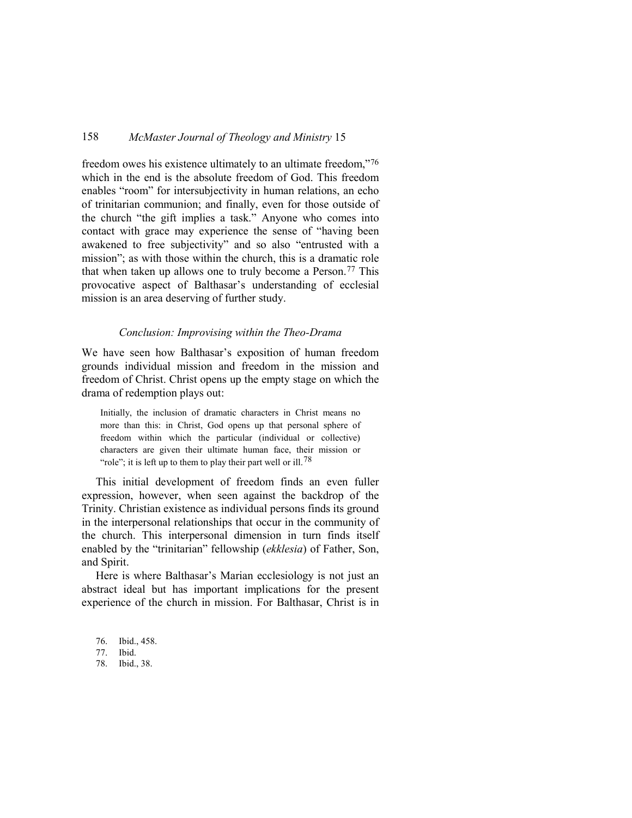freedom owes his existence ultimately to an ultimate freedom,"[76](#page-22-0) which in the end is the absolute freedom of God. This freedom enables "room" for intersubjectivity in human relations, an echo of trinitarian communion; and finally, even for those outside of the church "the gift implies a task." Anyone who comes into contact with grace may experience the sense of "having been awakened to free subjectivity" and so also "entrusted with a mission"; as with those within the church, this is a dramatic role that when taken up allows one to truly become a Person.[77](#page-22-1) This provocative aspect of Balthasar's understanding of ecclesial mission is an area deserving of further study.

#### *Conclusion: Improvising within the Theo-Drama*

We have seen how Balthasar's exposition of human freedom grounds individual mission and freedom in the mission and freedom of Christ. Christ opens up the empty stage on which the drama of redemption plays out:

Initially, the inclusion of dramatic characters in Christ means no more than this: in Christ, God opens up that personal sphere of freedom within which the particular (individual or collective) characters are given their ultimate human face, their mission or "role"; it is left up to them to play their part well or ill.<sup>[78](#page-22-2)</sup>

This initial development of freedom finds an even fuller expression, however, when seen against the backdrop of the Trinity. Christian existence as individual persons finds its ground in the interpersonal relationships that occur in the community of the church. This interpersonal dimension in turn finds itself enabled by the "trinitarian" fellowship (*ekklesia*) of Father, Son, and Spirit.

Here is where Balthasar's Marian ecclesiology is not just an abstract ideal but has important implications for the present experience of the church in mission. For Balthasar, Christ is in

- <span id="page-22-0"></span>76. Ibid., 458.
- <span id="page-22-1"></span>77. Ibid.

<span id="page-22-2"></span>78. Ibid., 38.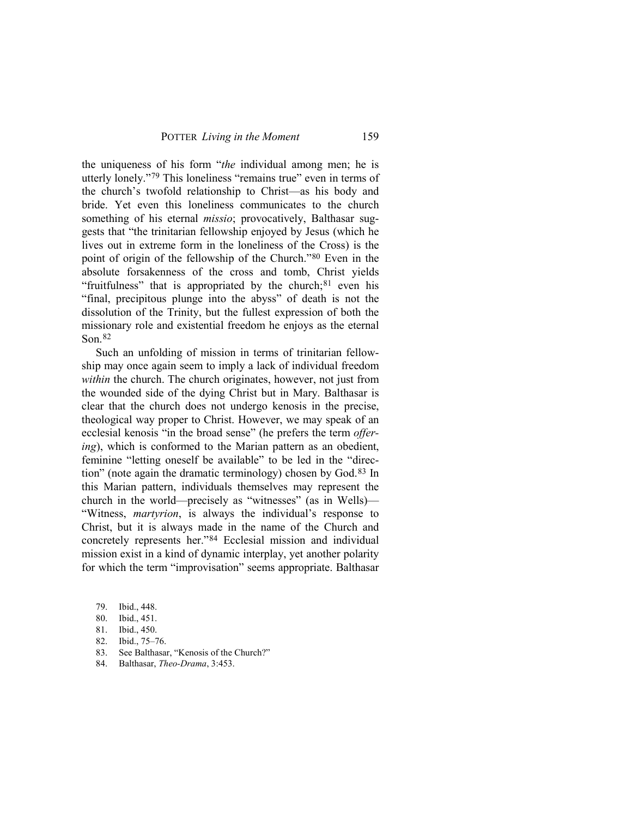the uniqueness of his form "*the* individual among men; he is utterly lonely."[79](#page-23-0) This loneliness "remains true" even in terms of the church's twofold relationship to Christ—as his body and bride. Yet even this loneliness communicates to the church something of his eternal *missio*; provocatively, Balthasar suggests that "the trinitarian fellowship enjoyed by Jesus (which he lives out in extreme form in the loneliness of the Cross) is the point of origin of the fellowship of the Church."[80](#page-23-1) Even in the absolute forsakenness of the cross and tomb, Christ yields "fruitfulness" that is appropriated by the church; $81$  even his "final, precipitous plunge into the abyss" of death is not the dissolution of the Trinity, but the fullest expression of both the missionary role and existential freedom he enjoys as the eternal Son.[82](#page-23-3)

Such an unfolding of mission in terms of trinitarian fellowship may once again seem to imply a lack of individual freedom *within* the church. The church originates, however, not just from the wounded side of the dying Christ but in Mary. Balthasar is clear that the church does not undergo kenosis in the precise, theological way proper to Christ. However, we may speak of an ecclesial kenosis "in the broad sense" (he prefers the term *offering*), which is conformed to the Marian pattern as an obedient, feminine "letting oneself be available" to be led in the "direction" (note again the dramatic terminology) chosen by God.[83](#page-23-4) In this Marian pattern, individuals themselves may represent the church in the world—precisely as "witnesses" (as in Wells)— "Witness, *martyrion*, is always the individual's response to Christ, but it is always made in the name of the Church and concretely represents her."[84](#page-23-5) Ecclesial mission and individual mission exist in a kind of dynamic interplay, yet another polarity for which the term "improvisation" seems appropriate. Balthasar

- <span id="page-23-0"></span>79. Ibid., 448.
- <span id="page-23-1"></span>80. Ibid., 451.
- <span id="page-23-3"></span><span id="page-23-2"></span>81. Ibid., 450.
- 82. Ibid., 75–76.
- <span id="page-23-4"></span>83. See Balthasar, "Kenosis of the Church?"
- <span id="page-23-5"></span>84. Balthasar, *Theo-Drama*, 3:453.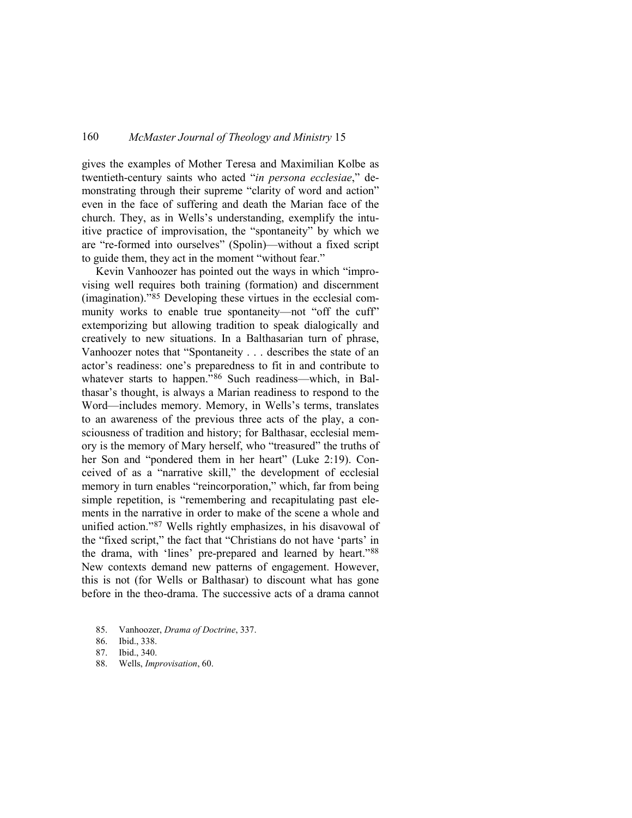gives the examples of Mother Teresa and Maximilian Kolbe as twentieth-century saints who acted "*in persona ecclesiae*," demonstrating through their supreme "clarity of word and action" even in the face of suffering and death the Marian face of the church. They, as in Wells's understanding, exemplify the intuitive practice of improvisation, the "spontaneity" by which we are "re-formed into ourselves" (Spolin)—without a fixed script to guide them, they act in the moment "without fear."

Kevin Vanhoozer has pointed out the ways in which "improvising well requires both training (formation) and discernment (imagination)."[85](#page-24-0) Developing these virtues in the ecclesial community works to enable true spontaneity—not "off the cuff" extemporizing but allowing tradition to speak dialogically and creatively to new situations. In a Balthasarian turn of phrase, Vanhoozer notes that "Spontaneity . . . describes the state of an actor's readiness: one's preparedness to fit in and contribute to whatever starts to happen."<sup>[86](#page-24-1)</sup> Such readiness—which, in Balthasar's thought, is always a Marian readiness to respond to the Word—includes memory. Memory, in Wells's terms, translates to an awareness of the previous three acts of the play, a consciousness of tradition and history; for Balthasar, ecclesial memory is the memory of Mary herself, who "treasured" the truths of her Son and "pondered them in her heart" (Luke 2:19). Conceived of as a "narrative skill," the development of ecclesial memory in turn enables "reincorporation," which, far from being simple repetition, is "remembering and recapitulating past elements in the narrative in order to make of the scene a whole and unified action."[87](#page-24-2) Wells rightly emphasizes, in his disavowal of the "fixed script," the fact that "Christians do not have 'parts' in the drama, with 'lines' pre-prepared and learned by heart."[88](#page-24-3) New contexts demand new patterns of engagement. However, this is not (for Wells or Balthasar) to discount what has gone before in the theo-drama. The successive acts of a drama cannot

<span id="page-24-0"></span>85. Vanhoozer, *Drama of Doctrine*, 337.

<span id="page-24-3"></span>88. Wells, *Improvisation*, 60.

<span id="page-24-1"></span><sup>86.</sup> Ibid., 338.

<span id="page-24-2"></span><sup>87.</sup> Ibid., 340.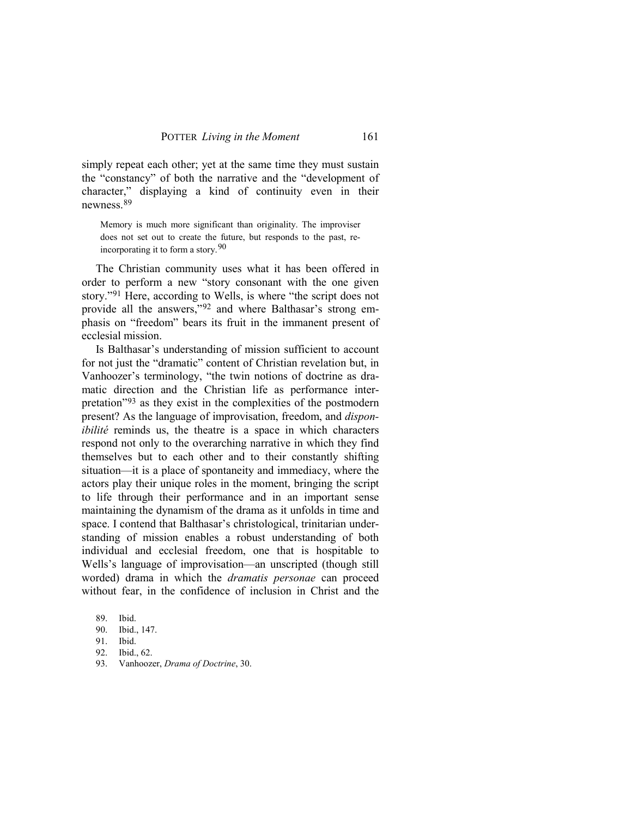simply repeat each other; yet at the same time they must sustain the "constancy" of both the narrative and the "development of character," displaying a kind of continuity even in their newness.[89](#page-25-0)

Memory is much more significant than originality. The improviser does not set out to create the future, but responds to the past, reincorporating it to form a story.[90](#page-25-1)

The Christian community uses what it has been offered in order to perform a new "story consonant with the one given story."[91](#page-25-2) Here, according to Wells, is where "the script does not provide all the answers,"[92](#page-25-3) and where Balthasar's strong emphasis on "freedom" bears its fruit in the immanent present of ecclesial mission.

Is Balthasar's understanding of mission sufficient to account for not just the "dramatic" content of Christian revelation but, in Vanhoozer's terminology, "the twin notions of doctrine as dramatic direction and the Christian life as performance interpretation"[93](#page-25-4) as they exist in the complexities of the postmodern present? As the language of improvisation, freedom, and *disponibilité* reminds us, the theatre is a space in which characters respond not only to the overarching narrative in which they find themselves but to each other and to their constantly shifting situation—it is a place of spontaneity and immediacy, where the actors play their unique roles in the moment, bringing the script to life through their performance and in an important sense maintaining the dynamism of the drama as it unfolds in time and space. I contend that Balthasar's christological, trinitarian understanding of mission enables a robust understanding of both individual and ecclesial freedom, one that is hospitable to Wells's language of improvisation—an unscripted (though still worded) drama in which the *dramatis personae* can proceed without fear, in the confidence of inclusion in Christ and the

<span id="page-25-1"></span><span id="page-25-0"></span><sup>89.</sup> Ibid.

<sup>90.</sup> Ibid., 147.

<span id="page-25-2"></span><sup>91.</sup> Ibid.

<span id="page-25-3"></span><sup>92.</sup> Ibid., 62.

<span id="page-25-4"></span><sup>93.</sup> Vanhoozer, *Drama of Doctrine*, 30.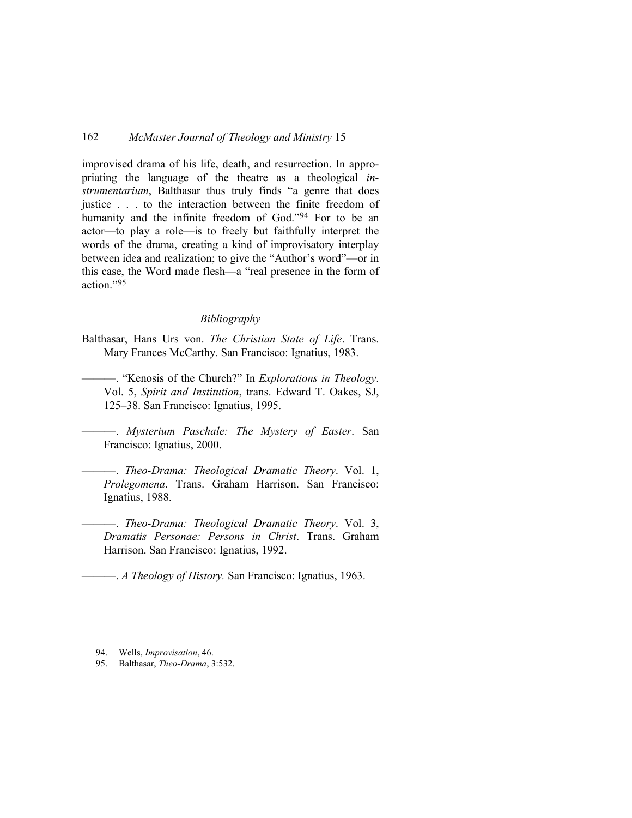improvised drama of his life, death, and resurrection. In appropriating the language of the theatre as a theological *instrumentarium*, Balthasar thus truly finds "a genre that does justice . . . to the interaction between the finite freedom of humanity and the infinite freedom of God."[94](#page-26-0) For to be an actor—to play a role—is to freely but faithfully interpret the words of the drama, creating a kind of improvisatory interplay between idea and realization; to give the "Author's word"—or in this case, the Word made flesh—a "real presence in the form of action."[95](#page-26-1)

#### *Bibliography*

- Balthasar, Hans Urs von. *The Christian State of Life*. Trans. Mary Frances McCarthy. San Francisco: Ignatius, 1983.
	- ———. "Kenosis of the Church?" In *Explorations in Theology*. Vol. 5, *Spirit and Institution*, trans. Edward T. Oakes, SJ, 125–38. San Francisco: Ignatius, 1995.

———. *Mysterium Paschale: The Mystery of Easter*. San Francisco: Ignatius, 2000.

———. *Theo-Drama: Theological Dramatic Theory*. Vol. 1, *Prolegomena*. Trans. Graham Harrison. San Francisco: Ignatius, 1988.

———. *Theo-Drama: Theological Dramatic Theory*. Vol. 3, *Dramatis Personae: Persons in Christ*. Trans. Graham Harrison. San Francisco: Ignatius, 1992.

———. *A Theology of History.* San Francisco: Ignatius, 1963.

<span id="page-26-1"></span>95. Balthasar, *Theo-Drama*, 3:532.

<span id="page-26-0"></span><sup>94.</sup> Wells, *Improvisation*, 46.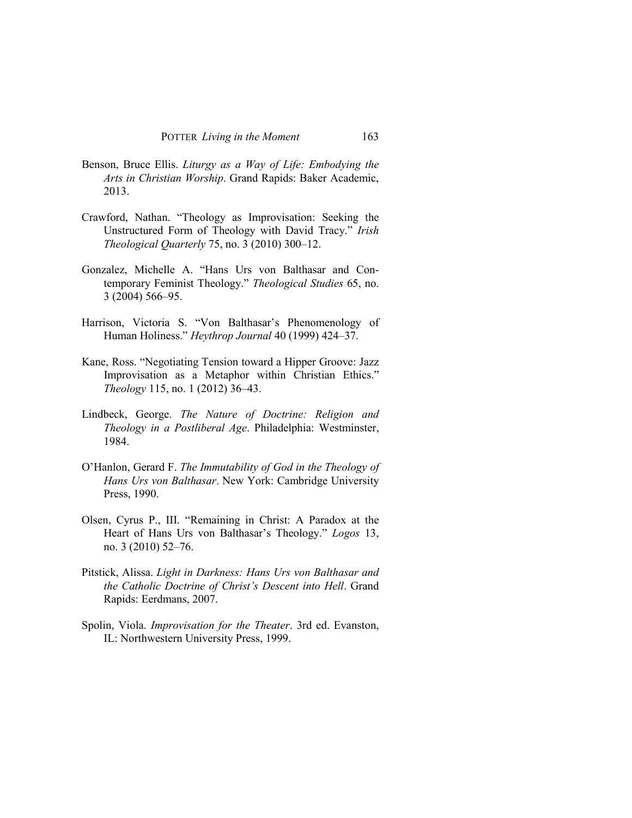- Benson, Bruce Ellis. *Liturgy as a Way of Life: Embodying the Arts in Christian Worship*. Grand Rapids: Baker Academic, 2013.
- Crawford, Nathan. "Theology as Improvisation: Seeking the Unstructured Form of Theology with David Tracy." *Irish Theological Quarterly* 75, no. 3 (2010) 300–12.
- Gonzalez, Michelle A. "Hans Urs von Balthasar and Contemporary Feminist Theology." *Theological Studies* 65, no. 3 (2004) 566–95.
- Harrison, Victoria S. "Von Balthasar's Phenomenology of Human Holiness." *Heythrop Journal* 40 (1999) 424–37.
- Kane, Ross. "Negotiating Tension toward a Hipper Groove: Jazz Improvisation as a Metaphor within Christian Ethics." *Theology* 115, no. 1 (2012) 36–43.
- Lindbeck, George. *The Nature of Doctrine: Religion and Theology in a Postliberal Age*. Philadelphia: Westminster, 1984.
- O'Hanlon, Gerard F. *The Immutability of God in the Theology of Hans Urs von Balthasar*. New York: Cambridge University Press, 1990.
- Olsen, Cyrus P., III. "Remaining in Christ: A Paradox at the Heart of Hans Urs von Balthasar's Theology." *Logos* 13, no. 3 (2010) 52–76.
- Pitstick, Alissa. *Light in Darkness: Hans Urs von Balthasar and the Catholic Doctrine of Christ's Descent into Hell*. Grand Rapids: Eerdmans, 2007.
- Spolin, Viola. *Improvisation for the Theater*. 3rd ed. Evanston, IL: Northwestern University Press, 1999.